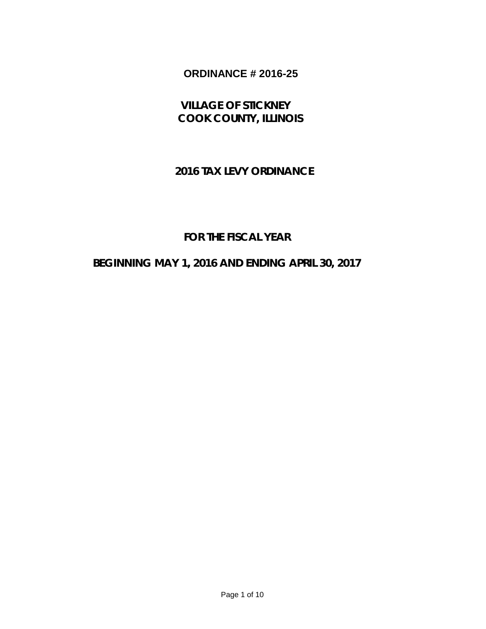# **ORDINANCE # 2016-25**

 **VILLAGE OF STICKNEY COOK COUNTY, ILLINOIS**

## **2016 TAX LEVY ORDINANCE**

## **FOR THE FISCAL YEAR**

### **BEGINNING MAY 1, 2016 AND ENDING APRIL 30, 2017**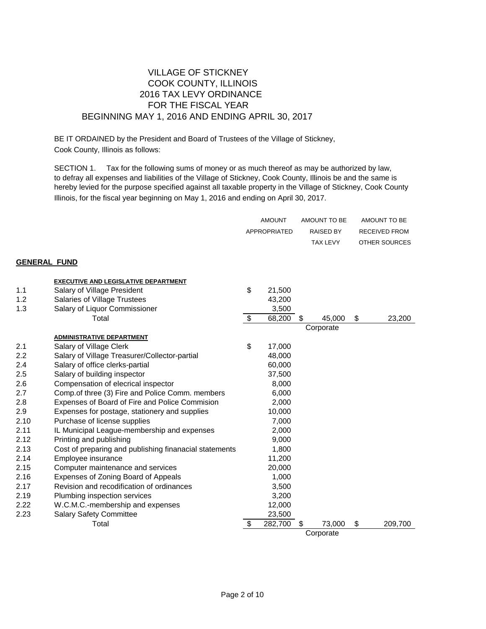### VILLAGE OF STICKNEY COOK COUNTY, ILLINOIS 2016 TAX LEVY ORDINANCE FOR THE FISCAL YEAR BEGINNING MAY 1, 2016 AND ENDING APRIL 30, 2017

BE IT ORDAINED by the President and Board of Trustees of the Village of Stickney, Cook County, Illinois as follows:

SECTION 1. Tax for the following sums of money or as much thereof as may be authorized by law, to defray all expenses and liabilities of the Village of Stickney, Cook County, Illinois be and the same is hereby levied for the purpose specified against all taxable property in the Village of Stickney, Cook County Illinois, for the fiscal year beginning on May 1, 2016 and ending on April 30, 2017.

|                     |                                                        | <b>AMOUNT</b> |   | AMOUNT TO BE     |    | AMOUNT TO BE         |
|---------------------|--------------------------------------------------------|---------------|---|------------------|----|----------------------|
|                     |                                                        | APPROPRIATED  |   | <b>RAISED BY</b> |    | <b>RECEIVED FROM</b> |
|                     |                                                        |               |   | <b>TAX LEVY</b>  |    | OTHER SOURCES        |
|                     |                                                        |               |   |                  |    |                      |
| <b>GENERAL FUND</b> |                                                        |               |   |                  |    |                      |
|                     | <b>EXECUTIVE AND LEGISLATIVE DEPARTMENT</b>            |               |   |                  |    |                      |
| 1.1                 | Salary of Village President                            | \$<br>21,500  |   |                  |    |                      |
| 1.2                 | Salaries of Village Trustees                           | 43,200        |   |                  |    |                      |
| 1.3                 | Salary of Liquor Commissioner                          | 3,500         |   |                  |    |                      |
|                     | Total                                                  | \$<br>68,200  | S | 45,000           | \$ | 23,200               |
|                     |                                                        |               |   | Corporate        |    |                      |
|                     | <b>ADMINISTRATIVE DEPARTMENT</b>                       |               |   |                  |    |                      |
| 2.1                 | Salary of Village Clerk                                | \$<br>17,000  |   |                  |    |                      |
| 2.2                 | Salary of Village Treasurer/Collector-partial          | 48,000        |   |                  |    |                      |
| 2.4                 | Salary of office clerks-partial                        | 60,000        |   |                  |    |                      |
| 2.5                 | Salary of building inspector                           | 37,500        |   |                  |    |                      |
| 2.6                 | Compensation of elecrical inspector                    | 8,000         |   |                  |    |                      |
| 2.7                 | Comp.of three (3) Fire and Police Comm. members        | 6,000         |   |                  |    |                      |
| 2.8                 | Expenses of Board of Fire and Police Commision         | 2,000         |   |                  |    |                      |
| 2.9                 | Expenses for postage, stationery and supplies          | 10,000        |   |                  |    |                      |
| 2.10                | Purchase of license supplies                           | 7,000         |   |                  |    |                      |
| 2.11                | IL Municipal League-membership and expenses            | 2,000         |   |                  |    |                      |
| 2.12                | Printing and publishing                                | 9,000         |   |                  |    |                      |
| 2.13                | Cost of preparing and publishing finanacial statements | 1,800         |   |                  |    |                      |
| 2.14                | Employee insurance                                     | 11,200        |   |                  |    |                      |
| 2.15                | Computer maintenance and services                      | 20,000        |   |                  |    |                      |
| 2.16                | Expenses of Zoning Board of Appeals                    | 1,000         |   |                  |    |                      |
| 2.17                | Revision and recodification of ordinances              | 3,500         |   |                  |    |                      |
| 2.19                | Plumbing inspection services                           | 3,200         |   |                  |    |                      |
| 2.22                | W.C.M.C.-membership and expenses                       | 12,000        |   |                  |    |                      |
| 2.23                | <b>Salary Safety Committee</b>                         | 23,500        |   |                  |    |                      |
|                     | Total                                                  | \$<br>282,700 | S | 73,000           | \$ | 209,700              |
|                     |                                                        |               |   | Corporate        |    |                      |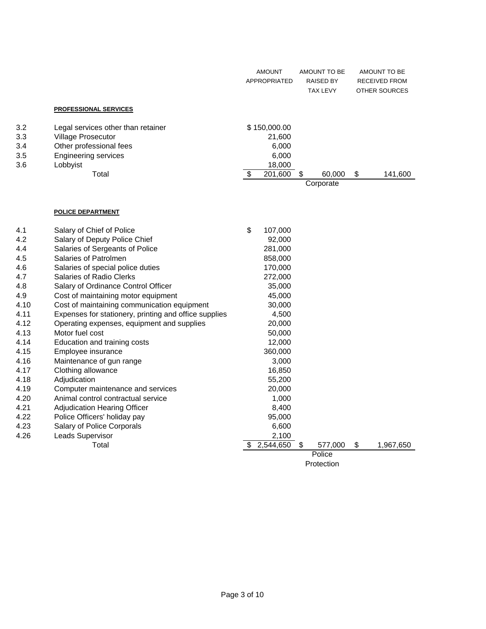|                                 |                                                                                                                                       | <b>AMOUNT</b><br><b>APPROPRIATED</b>               |   | AMOUNT TO BE<br><b>RAISED BY</b><br><b>TAX LEVY</b> | <b>AMOUNT TO BE</b><br><b>RECEIVED FROM</b><br><b>OTHER SOURCES</b> |
|---------------------------------|---------------------------------------------------------------------------------------------------------------------------------------|----------------------------------------------------|---|-----------------------------------------------------|---------------------------------------------------------------------|
|                                 | <b>PROFESSIONAL SERVICES</b>                                                                                                          |                                                    |   |                                                     |                                                                     |
| 3.2<br>3.3<br>3.4<br>3.5<br>3.6 | Legal services other than retainer<br><b>Village Prosecutor</b><br>Other professional fees<br><b>Engineering services</b><br>Lobbyist | \$150,000.00<br>21,600<br>6,000<br>6,000<br>18,000 |   |                                                     |                                                                     |
|                                 | Total                                                                                                                                 | \$<br>201,600                                      | S | 60,000<br>Corporate                                 | \$<br>141,600                                                       |
|                                 | <b>POLICE DEPARTMENT</b>                                                                                                              |                                                    |   |                                                     |                                                                     |
| 4.1                             | Salary of Chief of Police                                                                                                             | \$<br>107,000                                      |   |                                                     |                                                                     |
| 4.2                             | Salary of Deputy Police Chief                                                                                                         | 92,000                                             |   |                                                     |                                                                     |
| 4.4                             | Salaries of Sergeants of Police<br>Salaries of Patrolmen                                                                              | 281,000                                            |   |                                                     |                                                                     |
| 4.5<br>4.6                      | Salaries of special police duties                                                                                                     | 858,000<br>170,000                                 |   |                                                     |                                                                     |
| 4.7                             | Salaries of Radio Clerks                                                                                                              | 272,000                                            |   |                                                     |                                                                     |
| 4.8                             | Salary of Ordinance Control Officer                                                                                                   | 35,000                                             |   |                                                     |                                                                     |
| 4.9                             | Cost of maintaining motor equipment                                                                                                   | 45,000                                             |   |                                                     |                                                                     |
| 4.10                            | Cost of maintaining communication equipment                                                                                           | 30,000                                             |   |                                                     |                                                                     |

| 4.11 | Expenses for stationery, printing and office supplies | 4,500          |         |                 |
|------|-------------------------------------------------------|----------------|---------|-----------------|
| 4.12 | Operating expenses, equipment and supplies            | 20,000         |         |                 |
| 4.13 | Motor fuel cost                                       | 50,000         |         |                 |
| 4.14 | Education and training costs                          | 12,000         |         |                 |
| 4.15 | Employee insurance                                    | 360,000        |         |                 |
| 4.16 | Maintenance of gun range                              | 3,000          |         |                 |
| 4.17 | Clothing allowance                                    | 16,850         |         |                 |
| 4.18 | Adjudication                                          | 55,200         |         |                 |
| 4.19 | Computer maintenance and services                     | 20,000         |         |                 |
| 4.20 | Animal control contractual service                    | 1,000          |         |                 |
| 4.21 | Adjudication Hearing Officer                          | 8,400          |         |                 |
| 4.22 | Police Officers' holiday pay                          | 95,000         |         |                 |
| 4.23 | Salary of Police Corporals                            | 6,600          |         |                 |
| 4.26 | Leads Supervisor                                      | 2,100          |         |                 |
|      | Total                                                 | 2,544,650<br>S | 577,000 | \$<br>1,967,650 |
|      |                                                       |                | Police  |                 |

Protection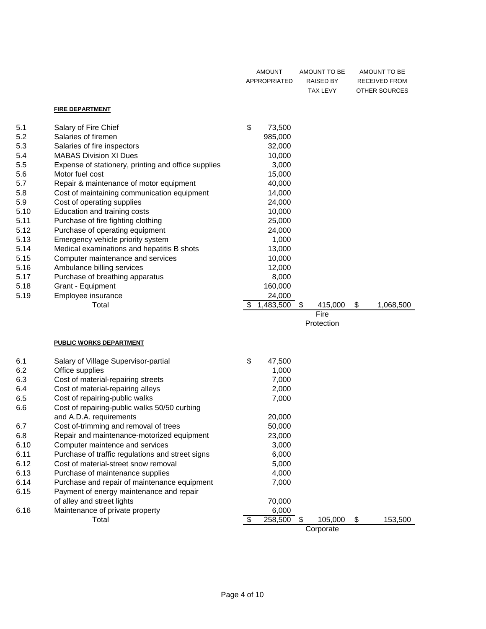|      |                                                     | <b>AMOUNT</b><br>APPROPRIATED | AMOUNT TO BE<br>RAISED BY<br><b>TAX LEVY</b> | AMOUNT TO BE<br>RECEIVED FROM<br>OTHER SOURCES |
|------|-----------------------------------------------------|-------------------------------|----------------------------------------------|------------------------------------------------|
|      | <b>FIRE DEPARTMENT</b>                              |                               |                                              |                                                |
| 5.1  | Salary of Fire Chief                                | \$<br>73,500                  |                                              |                                                |
| 5.2  | Salaries of firemen                                 | 985,000                       |                                              |                                                |
| 5.3  | Salaries of fire inspectors                         | 32,000                        |                                              |                                                |
| 5.4  | <b>MABAS Division XI Dues</b>                       | 10,000                        |                                              |                                                |
| 5.5  | Expense of stationery, printing and office supplies | 3,000                         |                                              |                                                |
| 5.6  | Motor fuel cost                                     | 15,000                        |                                              |                                                |
| 5.7  | Repair & maintenance of motor equipment             | 40,000                        |                                              |                                                |
| 5.8  | Cost of maintaining communication equipment         | 14,000                        |                                              |                                                |
| 5.9  | Cost of operating supplies                          | 24,000                        |                                              |                                                |
| 5.10 | Education and training costs                        | 10,000                        |                                              |                                                |
| 5.11 | Purchase of fire fighting clothing                  | 25,000                        |                                              |                                                |
| 5.12 | Purchase of operating equipment                     | 24,000                        |                                              |                                                |
| 5.13 | Emergency vehicle priority system                   | 1,000                         |                                              |                                                |
| 5.14 | Medical examinations and hepatitis B shots          | 13,000                        |                                              |                                                |
| 5.15 | Computer maintenance and services                   | 10,000                        |                                              |                                                |
| 5.16 | Ambulance billing services                          | 12,000                        |                                              |                                                |
| 5.17 | Purchase of breathing apparatus                     | 8,000                         |                                              |                                                |
| 5.18 | Grant - Equipment                                   | 160,000                       |                                              |                                                |
| 5.19 | Employee insurance                                  | 24,000                        |                                              |                                                |
|      | Total                                               | \$<br>1,483,500               | \$<br>415,000<br>Fire                        | \$<br>1,068,500                                |
|      |                                                     |                               | Protection                                   |                                                |
|      | <b>PUBLIC WORKS DEPARTMENT</b>                      |                               |                                              |                                                |
| 6.1  | Salary of Village Supervisor-partial                | \$<br>47,500                  |                                              |                                                |
| 6.2  | Office supplies                                     | 1,000                         |                                              |                                                |
| 6.3  | Cost of material-repairing streets                  | 7,000                         |                                              |                                                |
| 6.4  | Cost of material-repairing alleys                   | 2,000                         |                                              |                                                |
| 6.5  | Cost of repairing-public walks                      | 7,000                         |                                              |                                                |
| 6.6  | Cost of repairing-public walks 50/50 curbing        |                               |                                              |                                                |
|      | and A.D.A. requirements                             | 20,000                        |                                              |                                                |
| 6.7  | Cost of-trimming and removal of trees               | 50,000                        |                                              |                                                |
| 6.8  | Repair and maintenance-motorized equipment          | 23,000                        |                                              |                                                |
| 6.10 | Computer maintence and services                     | 3,000                         |                                              |                                                |
| 6.11 | Purchase of traffic regulations and street signs    | 6,000                         |                                              |                                                |
| 6.12 | Cost of material-street snow removal                | 5,000                         |                                              |                                                |
| 6.13 | Purchase of maintenance supplies                    | 4,000                         |                                              |                                                |
| 6.14 | Purchase and repair of maintenance equipment        | 7,000                         |                                              |                                                |
| 6.15 | Payment of energy maintenance and repair            |                               |                                              |                                                |
|      | of alley and street lights                          | 70,000                        |                                              |                                                |
| 6.16 | Maintenance of private property                     | 6,000                         |                                              |                                                |
|      | Total                                               | \$<br>258,500                 | \$<br>105,000<br>Corporate                   | \$<br>153,500                                  |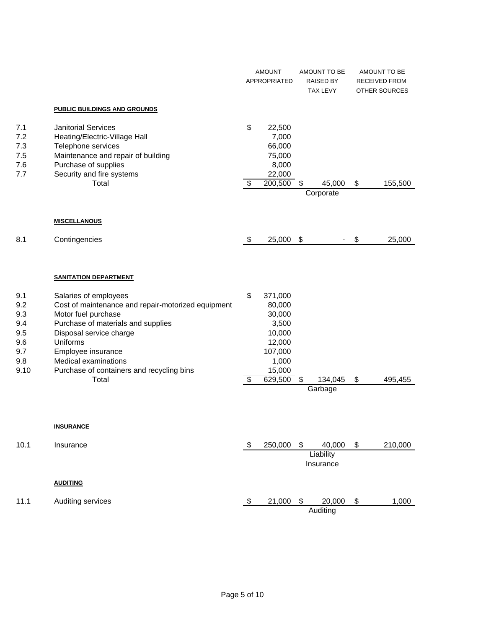|                                                              |                                                                                                                                                                                                                                                                                     | <b>AMOUNT</b><br><b>APPROPRIATED</b> |                                                                                                   | AMOUNT TO BE<br><b>RAISED BY</b><br>TAX LEVY |                                  | AMOUNT TO BE<br>RECEIVED FROM<br>OTHER SOURCES |         |
|--------------------------------------------------------------|-------------------------------------------------------------------------------------------------------------------------------------------------------------------------------------------------------------------------------------------------------------------------------------|--------------------------------------|---------------------------------------------------------------------------------------------------|----------------------------------------------|----------------------------------|------------------------------------------------|---------|
|                                                              | <b>PUBLIC BUILDINGS AND GROUNDS</b>                                                                                                                                                                                                                                                 |                                      |                                                                                                   |                                              |                                  |                                                |         |
| 7.1<br>7.2<br>7.3<br>7.5<br>7.6<br>7.7                       | <b>Janitorial Services</b><br>Heating/Electric-Village Hall<br>Telephone services<br>Maintenance and repair of building<br>Purchase of supplies<br>Security and fire systems<br>Total                                                                                               | \$<br>\$                             | 22,500<br>7,000<br>66,000<br>75,000<br>8,000<br>22,000<br>200,500                                 | \$                                           | 45,000<br>Corporate              | \$                                             | 155,500 |
|                                                              |                                                                                                                                                                                                                                                                                     |                                      |                                                                                                   |                                              |                                  |                                                |         |
|                                                              | <b>MISCELLANOUS</b>                                                                                                                                                                                                                                                                 |                                      |                                                                                                   |                                              |                                  |                                                |         |
| 8.1                                                          | Contingencies                                                                                                                                                                                                                                                                       | \$                                   | 25,000                                                                                            | $\boldsymbol{\mathsf{S}}$                    |                                  | \$                                             | 25,000  |
|                                                              | <b>SANITATION DEPARTMENT</b>                                                                                                                                                                                                                                                        |                                      |                                                                                                   |                                              |                                  |                                                |         |
| 9.1<br>9.2<br>9.3<br>9.4<br>9.5<br>9.6<br>9.7<br>9.8<br>9.10 | Salaries of employees<br>Cost of maintenance and repair-motorized equipment<br>Motor fuel purchase<br>Purchase of materials and supplies<br>Disposal service charge<br>Uniforms<br>Employee insurance<br>Medical examinations<br>Purchase of containers and recycling bins<br>Total | \$<br>\$                             | 371,000<br>80,000<br>30,000<br>3,500<br>10,000<br>12,000<br>107,000<br>1,000<br>15,000<br>629,500 | \$                                           | 134,045<br>Garbage               | \$                                             | 495,455 |
|                                                              | <b>INSURANCE</b>                                                                                                                                                                                                                                                                    |                                      |                                                                                                   |                                              |                                  |                                                |         |
| 10.1                                                         | Insurance                                                                                                                                                                                                                                                                           | \$                                   | 250,000                                                                                           | \$                                           | 40,000<br>Liability<br>Insurance | \$                                             | 210,000 |
|                                                              | <b>AUDITING</b>                                                                                                                                                                                                                                                                     |                                      |                                                                                                   |                                              |                                  |                                                |         |
| 11.1                                                         | Auditing services                                                                                                                                                                                                                                                                   | \$                                   | 21,000                                                                                            | \$                                           | 20,000<br>Auditing               | \$                                             | 1,000   |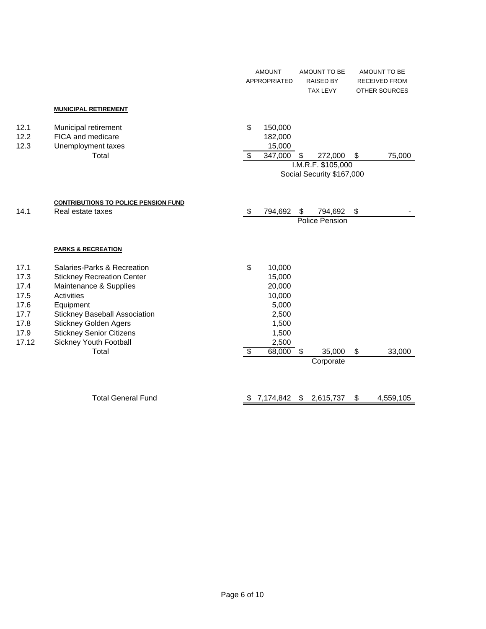|       |                                             |                          | <b>AMOUNT</b><br>APPROPRIATED | AMOUNT TO BE<br><b>RAISED BY</b><br><b>TAX LEVY</b> | AMOUNT TO BE<br><b>RECEIVED FROM</b><br>OTHER SOURCES |
|-------|---------------------------------------------|--------------------------|-------------------------------|-----------------------------------------------------|-------------------------------------------------------|
|       | <b>MUNICIPAL RETIREMENT</b>                 |                          |                               |                                                     |                                                       |
| 12.1  | Municipal retirement                        | \$                       | 150,000                       |                                                     |                                                       |
| 12.2  | FICA and medicare                           |                          | 182,000                       |                                                     |                                                       |
| 12.3  | Unemployment taxes                          |                          | 15,000                        |                                                     |                                                       |
|       | Total                                       | \$                       | 347,000                       | \$<br>272,000                                       | \$<br>75,000                                          |
|       |                                             |                          |                               | I.M.R.F. \$105,000<br>Social Security \$167,000     |                                                       |
|       |                                             |                          |                               |                                                     |                                                       |
|       |                                             |                          |                               |                                                     |                                                       |
|       | <b>CONTRIBUTIONS TO POLICE PENSION FUND</b> |                          |                               |                                                     |                                                       |
| 14.1  | Real estate taxes                           | \$                       | 794,692                       | \$<br>794,692                                       | \$                                                    |
|       |                                             |                          |                               | Police Pension                                      |                                                       |
|       |                                             |                          |                               |                                                     |                                                       |
|       | <b>PARKS &amp; RECREATION</b>               |                          |                               |                                                     |                                                       |
| 17.1  | Salaries-Parks & Recreation                 | \$                       | 10,000                        |                                                     |                                                       |
| 17.3  | <b>Stickney Recreation Center</b>           |                          | 15,000                        |                                                     |                                                       |
| 17.4  | Maintenance & Supplies                      |                          | 20,000                        |                                                     |                                                       |
| 17.5  | Activities                                  |                          | 10,000                        |                                                     |                                                       |
| 17.6  | Equipment                                   |                          | 5,000                         |                                                     |                                                       |
| 17.7  | <b>Stickney Baseball Association</b>        |                          | 2,500                         |                                                     |                                                       |
| 17.8  | <b>Stickney Golden Agers</b>                |                          | 1,500                         |                                                     |                                                       |
| 17.9  | <b>Stickney Senior Citizens</b>             |                          | 1,500                         |                                                     |                                                       |
| 17.12 | Sickney Youth Football                      |                          | 2,500                         |                                                     |                                                       |
|       | Total                                       | $\overline{\mathcal{S}}$ | 68,000                        | \$<br>35,000                                        | \$<br>33,000                                          |
|       |                                             |                          |                               | Corporate                                           |                                                       |
|       |                                             |                          |                               |                                                     |                                                       |
|       |                                             |                          |                               |                                                     |                                                       |
|       | <b>Total General Fund</b>                   | \$                       | 7,174,842                     | \$<br>2,615,737                                     | \$<br>4,559,105                                       |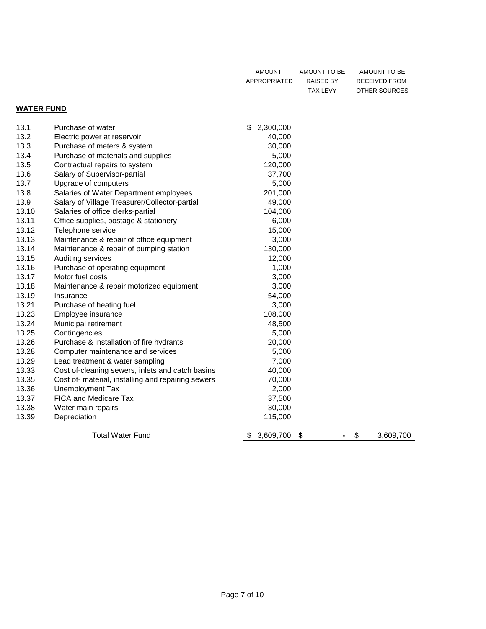| AMOUNT       | AMOUNT TO BE | AMOUNT TO BE  |
|--------------|--------------|---------------|
| APPROPRIATED | RAISED BY    | RECEIVED FROM |
|              | TAX LEVY     | OTHER SOURCES |

### **WATER FUND**

| 13.1  | Purchase of water                                  | \$<br>2,300,000 |         |           |
|-------|----------------------------------------------------|-----------------|---------|-----------|
| 13.2  | Electric power at reservoir                        | 40,000          |         |           |
| 13.3  | Purchase of meters & system                        | 30,000          |         |           |
| 13.4  | Purchase of materials and supplies                 | 5,000           |         |           |
| 13.5  | Contractual repairs to system                      | 120,000         |         |           |
| 13.6  | Salary of Supervisor-partial                       | 37,700          |         |           |
| 13.7  | Upgrade of computers                               | 5,000           |         |           |
| 13.8  | Salaries of Water Department employees             | 201,000         |         |           |
| 13.9  | Salary of Village Treasurer/Collector-partial      | 49,000          |         |           |
| 13.10 | Salaries of office clerks-partial                  | 104,000         |         |           |
| 13.11 | Office supplies, postage & stationery              | 6,000           |         |           |
| 13.12 | Telephone service                                  | 15,000          |         |           |
| 13.13 | Maintenance & repair of office equipment           | 3,000           |         |           |
| 13.14 | Maintenance & repair of pumping station            | 130,000         |         |           |
| 13.15 | Auditing services                                  | 12,000          |         |           |
| 13.16 | Purchase of operating equipment                    | 1,000           |         |           |
| 13.17 | Motor fuel costs                                   | 3,000           |         |           |
| 13.18 | Maintenance & repair motorized equipment           | 3,000           |         |           |
| 13.19 | Insurance                                          | 54,000          |         |           |
| 13.21 | Purchase of heating fuel                           | 3,000           |         |           |
| 13.23 | Employee insurance                                 | 108,000         |         |           |
| 13.24 | Municipal retirement                               | 48,500          |         |           |
| 13.25 | Contingencies                                      | 5,000           |         |           |
| 13.26 | Purchase & installation of fire hydrants           | 20,000          |         |           |
| 13.28 | Computer maintenance and services                  | 5,000           |         |           |
| 13.29 | Lead treatment & water sampling                    | 7,000           |         |           |
| 13.33 | Cost of-cleaning sewers, inlets and catch basins   | 40,000          |         |           |
| 13.35 | Cost of- material, installing and repairing sewers | 70,000          |         |           |
| 13.36 | Unemployment Tax                                   | 2,000           |         |           |
| 13.37 | <b>FICA and Medicare Tax</b>                       | 37,500          |         |           |
| 13.38 | Water main repairs                                 | 30,000          |         |           |
| 13.39 | Depreciation                                       | 115,000         |         |           |
|       | <b>Total Water Fund</b>                            | $3,609,700$ \$  | \$<br>۰ | 3,609,700 |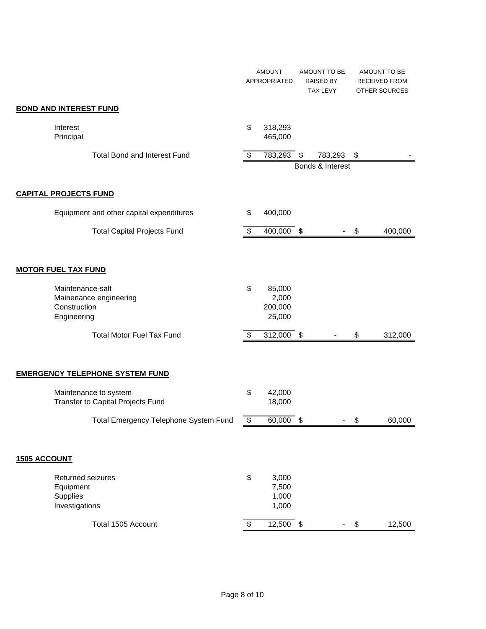|                            |                                                                           |                           | <b>AMOUNT</b><br>APPROPRIATED        | AMOUNT TO BE<br><b>RAISED BY</b><br><b>TAX LEVY</b> | AMOUNT TO BE<br><b>RECEIVED FROM</b><br>OTHER SOURCES |
|----------------------------|---------------------------------------------------------------------------|---------------------------|--------------------------------------|-----------------------------------------------------|-------------------------------------------------------|
|                            | <b>BOND AND INTEREST FUND</b>                                             |                           |                                      |                                                     |                                                       |
|                            | Interest<br>Principal                                                     | \$                        | 318,293<br>465,000                   |                                                     |                                                       |
|                            | <b>Total Bond and Interest Fund</b>                                       | \$                        | 783,293 \$                           | 783,293<br>Bonds & Interest                         | \$                                                    |
|                            | <b>CAPITAL PROJECTS FUND</b>                                              |                           |                                      |                                                     |                                                       |
|                            | Equipment and other capital expenditures                                  | \$                        | 400,000                              |                                                     |                                                       |
|                            | <b>Total Capital Projects Fund</b>                                        | \$                        | 400,000 \$                           |                                                     | \$<br>400,000                                         |
| <b>MOTOR FUEL TAX FUND</b> |                                                                           |                           |                                      |                                                     |                                                       |
|                            | Maintenance-salt<br>Mainenance engineering<br>Construction<br>Engineering | \$                        | 85,000<br>2,000<br>200,000<br>25,000 |                                                     |                                                       |
|                            | <b>Total Motor Fuel Tax Fund</b>                                          | \$                        | 312,000 \$                           |                                                     | \$<br>312,000                                         |
|                            | <b>EMERGENCY TELEPHONE SYSTEM FUND</b>                                    |                           |                                      |                                                     |                                                       |
|                            | Maintenance to system<br>Transfer to Capital Projects Fund                | \$                        | 42,000<br>18,000                     |                                                     |                                                       |
|                            | Total Emergency Telephone System Fund                                     | \$                        | 60,000                               | \$                                                  | \$<br>60,000                                          |
| <b>1505 ACCOUNT</b>        |                                                                           |                           |                                      |                                                     |                                                       |
|                            | Returned seizures<br>Equipment<br>Supplies<br>Investigations              | \$                        | 3,000<br>7,500<br>1,000<br>1,000     |                                                     |                                                       |
|                            | Total 1505 Account                                                        | $\overline{\mathfrak{s}}$ | $\overline{12,500}$ \$               | $\overline{\phantom{a}}$                            | \$<br>12,500                                          |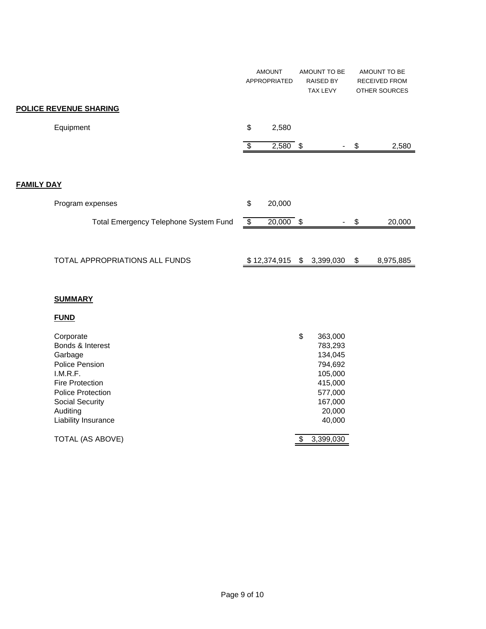|                                       | <b>AMOUNT</b><br>APPROPRIATED | AMOUNT TO BE<br><b>RAISED BY</b><br><b>TAX LEVY</b> |    | AMOUNT TO BE<br><b>RECEIVED FROM</b><br><b>OTHER SOURCES</b> |
|---------------------------------------|-------------------------------|-----------------------------------------------------|----|--------------------------------------------------------------|
| POLICE REVENUE SHARING                |                               |                                                     |    |                                                              |
| Equipment                             | \$<br>2,580                   |                                                     |    |                                                              |
|                                       | \$<br>$2,580$ \$              |                                                     | S  | 2,580                                                        |
|                                       |                               |                                                     |    |                                                              |
| <b>FAMILY DAY</b>                     |                               |                                                     |    |                                                              |
| Program expenses                      | \$<br>20,000                  |                                                     |    |                                                              |
| Total Emergency Telephone System Fund | \$<br>$20,000$ \$             |                                                     | \$ | 20,000                                                       |
|                                       |                               |                                                     |    |                                                              |
| TOTAL APPROPRIATIONS ALL FUNDS        | \$12,374,915                  | \$<br>3,399,030                                     | \$ | 8,975,885                                                    |

#### **SUMMARY**

### **FUND**

| Corporate<br>Bonds & Interest<br>Garbage<br>Police Pension<br>I.M.R.F.<br><b>Fire Protection</b><br><b>Police Protection</b><br><b>Social Security</b><br>Auditing | \$<br>363,000<br>783,293<br>134,045<br>794,692<br>105,000<br>415,000<br>577,000<br>167,000<br>20,000 |
|--------------------------------------------------------------------------------------------------------------------------------------------------------------------|------------------------------------------------------------------------------------------------------|
| Liability Insurance                                                                                                                                                | 40,000                                                                                               |
| TOTAL (AS ABOVE)                                                                                                                                                   | 3,399,030                                                                                            |